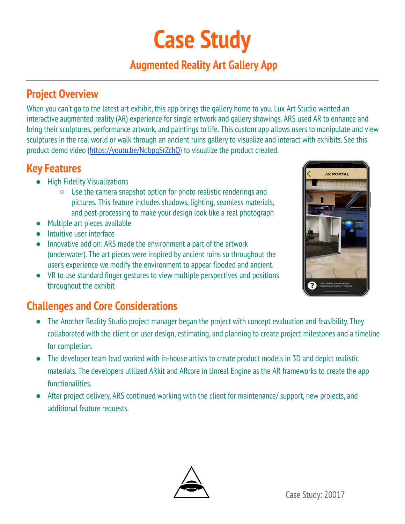# **Case Study**

## **Augmented Reality Art Gallery App**

### **Project Overview**

 When you can't go to the latest art exhibit, this app brings the gallery home to you. Lux Art Studio wanted an interactive augmented reality (AR) experience for single artwork and gallery showings. ARS used AR to enhance and bring their sculptures, performance artwork, and paintings to life. This custom app allows users to manipulate and view sculptures in the real world or walk through an ancient ruins gallery to visualize and interact with exhibits. See this product demo video (<https://youtu.be/NqbpgSrZchQ>) to visualize the product created.

### **Key Features**

- High Fidelity Visualizations
	- $\circ$  Use the camera snapshot option for photo realistic renderings and pictures. This feature includes shadows, lighting, seamless materials, and post-processing to make your design look like a real photograph
- Multiple art pieces available
- **Intuitive user interface**
- Innovative add on: ARS made the environment a part of the artwork (underwater). The art pieces were inspired by ancient ruins so throughout the user's experience we modify the environment to appear flooded and ancient.
- VR to use standard finger gestures to view multiple perspectives and positions throughout the exhibit

# **Challenges and Core Considerations**

- The Another Reality Studio project manager began the project with concept evaluation and feasibility. They collaborated with the client on user design, estimating, and planning to create project milestones and a timeline for completion.
- The developer team lead worked with in-house artists to create product models in 3D and depict realistic materials. The developers utilized ARkit and ARcore in Unreal Engine as the AR frameworks to create the app functionalities.
- After project delivery, ARS continued working with the client for maintenance/ support, new projects, and additional feature requests.